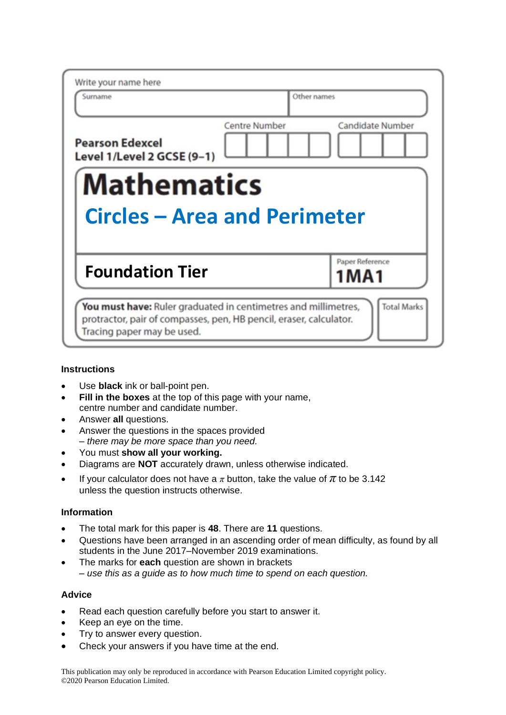| Write your name here                                 |                                          |
|------------------------------------------------------|------------------------------------------|
| Surname                                              | Other names                              |
| <b>Pearson Edexcel</b><br>Level 1/Level 2 GCSE (9-1) | Candidate Number<br><b>Centre Number</b> |
|                                                      |                                          |
| <b>Mathematics</b>                                   | <b>Circles - Area and Perimeter</b>      |
| <b>Foundation Tier</b>                               | Paper Reference<br>1 M A 1               |

# **Instructions**

- Use **black** ink or ball-point pen.
- **Fill in the boxes** at the top of this page with your name, centre number and candidate number.
- Answer **all** questions.
- Answer the questions in the spaces provided *– there may be more space than you need.*
- You must **show all your working.**
- Diagrams are **NOT** accurately drawn, unless otherwise indicated.
- If your calculator does not have a  $\pi$  button, take the value of  $\pi$  to be 3.142 unless the question instructs otherwise.

# **Information**

- The total mark for this paper is **48**. There are **11** questions.
- Questions have been arranged in an ascending order of mean difficulty, as found by all students in the June 2017–November 2019 examinations.
- The marks for **each** question are shown in brackets *– use this as a guide as to how much time to spend on each question.*

### **Advice**

- Read each question carefully before you start to answer it.
- Keep an eye on the time.
- Try to answer every question.
- Check your answers if you have time at the end.

This publication may only be reproduced in accordance with Pearson Education Limited copyright policy. ©2020 Pearson Education Limited.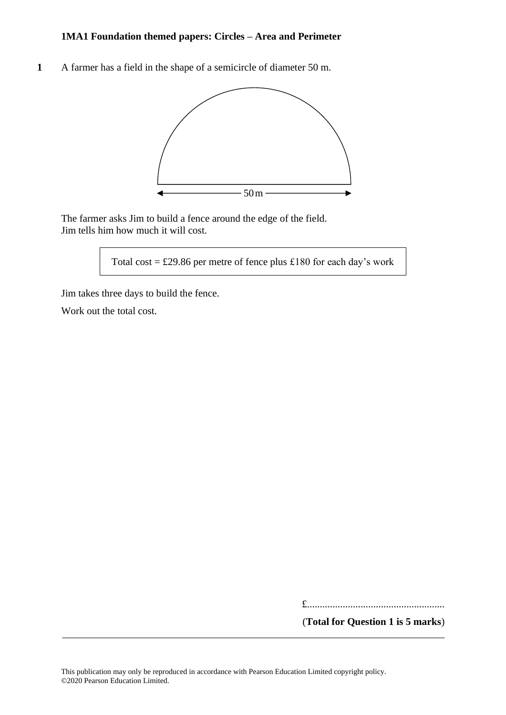**1** A farmer has a field in the shape of a semicircle of diameter 50 m. **19** A farmer has <sup>a</sup> field in the shape of <sup>a</sup> semicircle of diameter 50m.



The farmer asks Jim to build a fence around the edge of the field. The farmer asks Jim to build <sup>a</sup> fence around the edge of the field. Jim tells him how much it will cost. Jim tells him how much it will cost.

Total cost =  $\pounds$ 29.86 per metre of fence plus  $\pounds$ 180 for each day's work

Jim takes three days to build the fence. Jim takes three days to build the fence.

Work out the total cost. Work out the total cost.

£......................................................

(**Total for Question 1 is 5 marks**)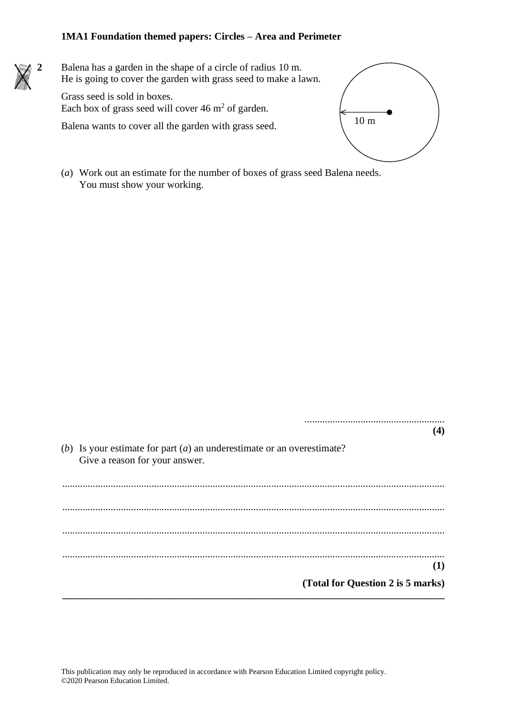**2** Balena has a garden in the shape of a circle of radius 10 m. He is going to cover the garden with grass seed to make a lawn. He is going to cover the garden with grass seed to make a lawn.

Grass seed is sold in boxes. Grass seed is sold in boxes. Each box of grass seed will cover  $46 \text{ m}^2$  of garden.

Balena wants to cover all the garden with grass seed. Balena wants to cover all the garden with grass seed.



.......................................................

(*a*) Work out an estimate for the number of boxes of grass seed Balena needs. (a) Work out an estimate for the number of boxes of grass seed Balena needs. You must show your working. You must show your working.

**(4)** (*b*) Is your estimate for part (*a*) an underestimate or an overestimate? Give a reason for your answer. ...................................................................................................................................................... ...................................................................................................................................................... ...................................................................................................................................................... ...................................................................................................................................................... **(1) (Total for Question 2 is 5 marks) \_\_\_\_\_\_\_\_\_\_\_\_\_\_\_\_\_\_\_\_\_\_\_\_\_\_\_\_\_\_\_\_\_\_\_\_\_\_\_\_\_\_\_\_\_\_\_\_\_\_\_\_\_\_\_\_\_\_\_\_\_\_\_\_\_\_\_\_\_\_\_\_\_\_\_** ....................................................... Give a reason for your  $\left(1\right)$  $\overline{a}$ **(Total for Question 18 is 5 marks)**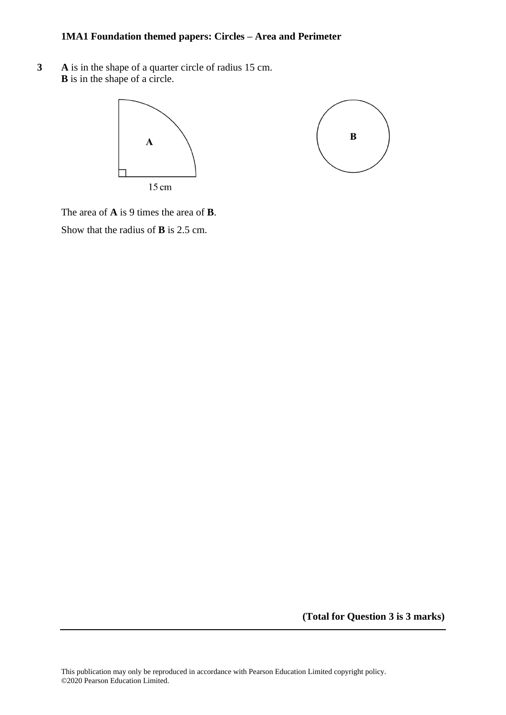**3 A** is in the shape of a quarter circle of radius 15 cm. **B** is in the shape of a circle.



The area of **A** is 9 times the area of **B**. Show that the radius of **B** is 2.5 cm.

**(Total for Question 3 is 3 marks)**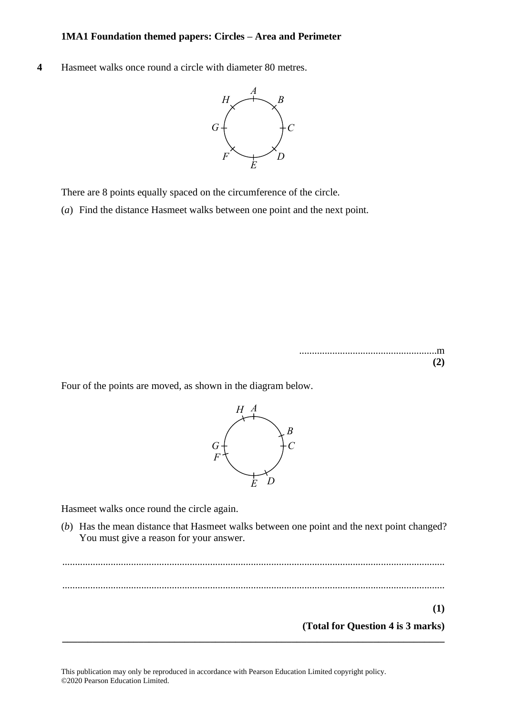**4** Hasmeet walks once round a circle with diameter 80 metres. **18** Hasmeet walks once round <sup>a</sup> circle with diameter 80 metres.



There are 8 points equally spaced on the circumference of the circle. There are 8 points equally spaced on the circumference of the circle.

(*a*) Find the distance Hasmeet walks between one point and the next point.

......................................................m ......................................................m **(2) (2)**

**(1)**

Four of the points are moved, as shown in the diagram below. Four of the points are moved, as shown in the diagram below.



Hasmeet walks once round the circle again. *F* Hasmeet walks once round the circle again.

(b) Has the mean distance that Hasmeet walks between one point and the next point changed? You must give a reason for your answer. You must give a reason for your answer.

...................................................................................................................................................... (b) Has the mean distance that Hasmeet walks between one point and the next point changed? .................................................................................................................................................................................................................................................. ...................................................................................................................................................... You must give <sup>a</sup> reason for your answer. .................................................................................................................................................................................................................................................. **(1) (Total for Question 4 is 3 marks) (Total for Question 18 is 3 marks)\_\_\_\_\_\_\_\_\_\_\_\_\_\_\_\_\_\_\_\_\_\_\_\_\_\_\_\_\_\_\_\_\_\_\_\_\_\_\_\_\_\_\_\_\_\_\_\_\_\_\_\_\_\_\_\_\_\_\_\_\_\_\_\_\_\_\_\_\_\_\_\_\_\_\_** .................................................................................................................................................................................................................................................. ..................................................................................................................................................................................................................................................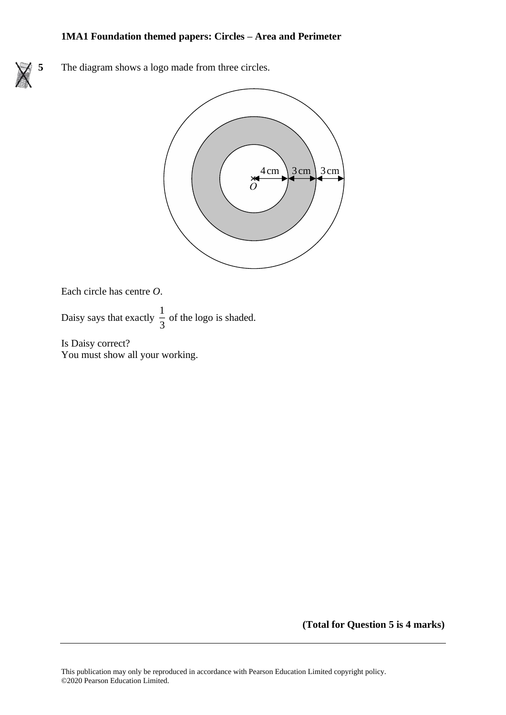**5** The diagram shows a logo made from three circles.



Each circle has centre *O*. Each circle has centre *O*.

Daisy says that exactly  $\frac{1}{2}$ Daisy says that exactly  $\frac{1}{3}$  of the logo is shaded.  $y \frac{1}{3}$  of the logo is shade

Is Daisy correct? Is Daisy correct? You must show all your working. You must show all your working.

**(Total for Question 5 is 4 marks)**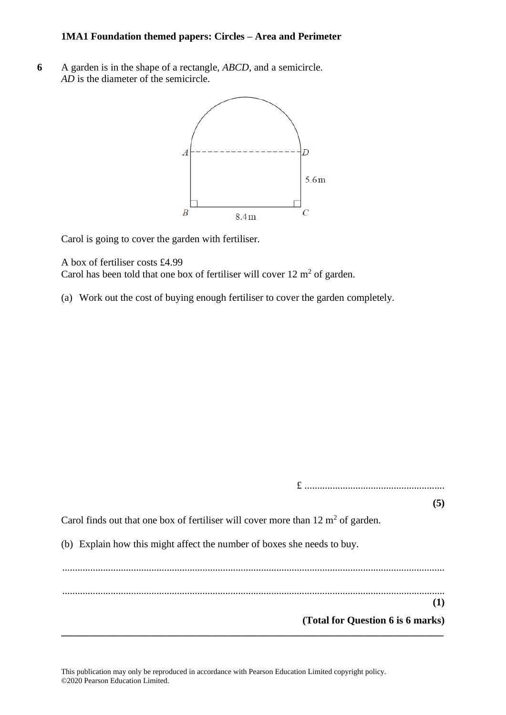**6** A garden is in the shape of a rectangle, *ABCD*, and a semicircle. *AD* is the diameter of the semicircle.



Carol is going to cover the garden with fertiliser.

A box of fertiliser costs £4.99 Carol has been told that one box of fertiliser will cover  $12 \text{ m}^2$  of garden.

(a) Work out the cost of buying enough fertiliser to cover the garden completely.

|                                                                                             | (5)                               |
|---------------------------------------------------------------------------------------------|-----------------------------------|
| Carol finds out that one box of fertiliser will cover more than $12 \text{ m}^2$ of garden. |                                   |
| (b) Explain how this might affect the number of boxes she needs to buy.                     |                                   |
|                                                                                             |                                   |
|                                                                                             | (1)                               |
|                                                                                             | (Total for Question 6 is 6 marks) |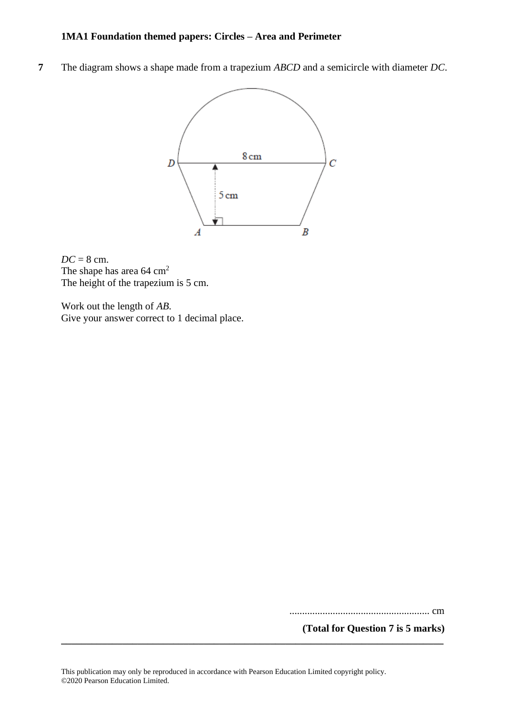**7** The diagram shows a shape made from a trapezium *ABCD* and a semicircle with diameter *DC*.



*DC* = 8 cm. The shape has area 64 cm<sup>2</sup> The height of the trapezium is 5 cm.

Work out the length of *AB*. Give your answer correct to 1 decimal place.

....................................................... cm

**(Total for Question 7 is 5 marks)**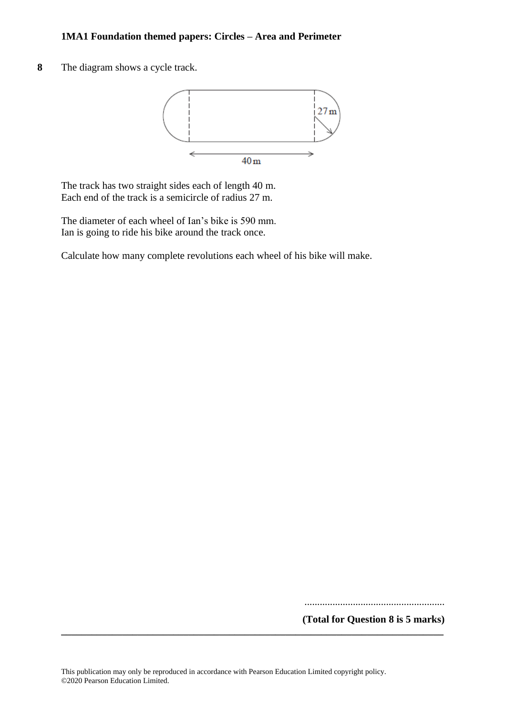**8** The diagram shows a cycle track.



The track has two straight sides each of length 40 m. Each end of the track is a semicircle of radius 27 m.

The diameter of each wheel of Ian's bike is 590 mm. Ian is going to ride his bike around the track once.

Calculate how many complete revolutions each wheel of his bike will make.

.......................................................

**(Total for Question 8 is 5 marks)**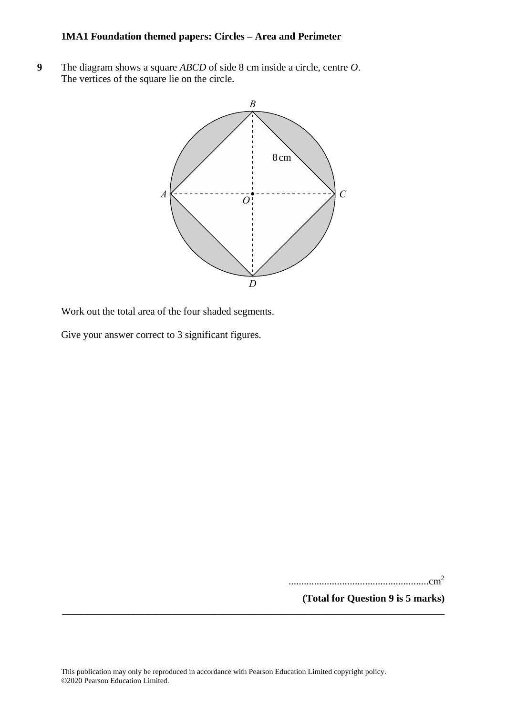**9** The diagram shows a square *ABCD* of side 8 cm inside a circle, centre *O*. **26** The diagram shows <sup>a</sup> square *ABCD* of side 8cm inside <sup>a</sup> circle, centre *O*. The vertices of the square lie on the circle. The vertices of the square lie on the circle.



Work out the total area of the four shaded segments. Work out the total area of the four shaded segments.

Give your answer correct to 3 significant figures. Give your answer correct to 3 significant figures.

.......................................................cm<sup>2</sup>

**(Total for Question 9 is 5 marks)** .......................................................cm<sup>2</sup>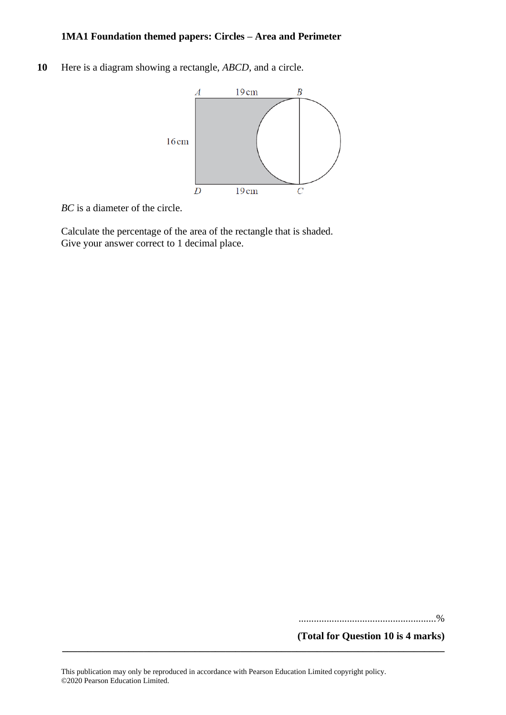**10** Here is a diagram showing a rectangle, *ABCD*, and a circle.



*BC* is a diameter of the circle.

Calculate the percentage of the area of the rectangle that is shaded. Give your answer correct to 1 decimal place.

......................................................%

**(Total for Question 10 is 4 marks)**